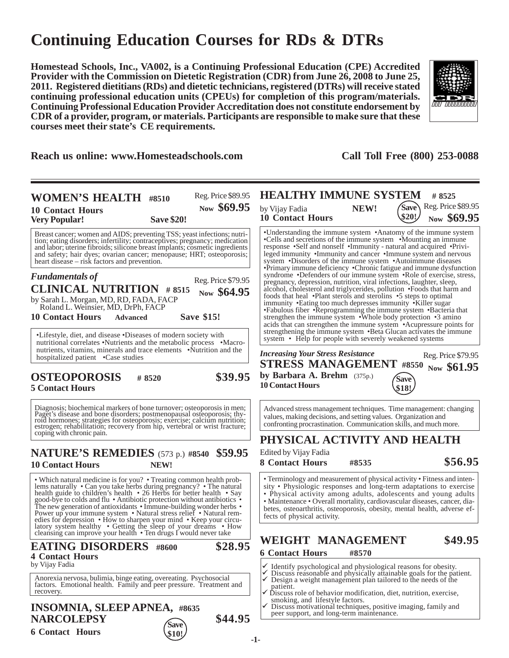# **Continuing Education Courses for RDs & DTRs**

**Homestead Schools, Inc., VA002, is a Continuing Professional Education (CPE) Accredited Provider with the Commission on Dietetic Registration (CDR) from June 26, 2008 to June 25, 2011. Registered dietitians (RDs) and dietetic technicians, registered (DTRs) will receive stated continuing professional education units (CPEUs) for completion of this program/materials. Continuing Professional Education Provider Accreditation does not constitute endorsement by CDR of a provider, program, or materials. Participants are responsible to make sure that these courses meet their state's CE requirements.**



**Reach us online: www.Homesteadschools.com Call Toll Free (800) 253-0088**

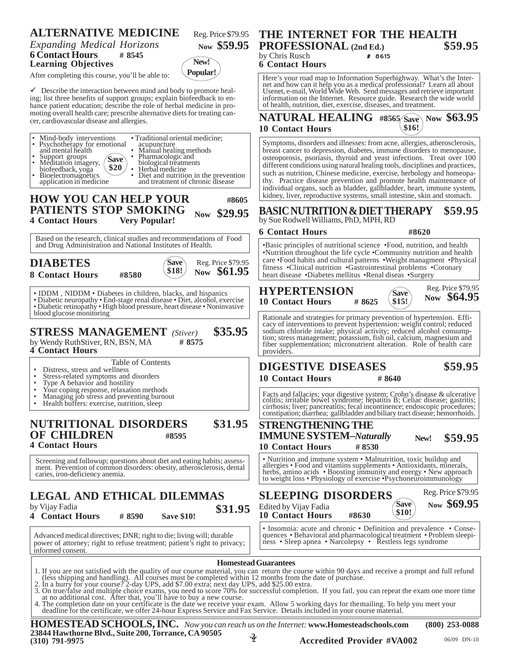## **ALTERNATIVE MEDICINE**

*Expanding Medical Horizons* **6 Contact Hours # 8545 Learning Objectives**

After completing this course, you'll be able to:

 $\checkmark$  Describe the interaction between mind and body to promote healing; list three benefits of support groups; explain biofeedback to enhance patient education; describe the role of herbal medicine in promoting overall health care; prescribe alternative diets for treating cancer, cardiovascular disease and allergies.

| • Traditional oriental medicine;<br>Mind-body interventions<br>• Psychotherapy for emotional<br>acupuncture<br>and mental health<br>• Manual healing methods<br>• Pharmacologic and<br>Support groups<br>Meditation imagery,<br><b>Save</b><br>biological treatments<br>\$20<br>Herbal medicine<br>biofeedback, yoga<br>Diet and nutrition in the prevention<br>Bioelectromagnetics<br>and treatment of chronic disease<br>application in medicine<br>HOW YOU CAN HELP YOUR<br>#8605                                                                                                                                                                                                                                         | Symptoms, disorders and illnesses: from acne, allergies,<br>breast cancer to depression, diabetes, immune disorders<br>osteoporosis, psoriasis, thyroid and yeast infections.<br>different conditions using natural healing tools, discipline<br>such as nutrition, Chinese medicine, exercise, herbology<br>thy. Practice disease prevention and promote health a<br>individual organs, such as bladder, gallbladder, heart, in<br>kidney, liver, reproductive systems, small intestine, skin |
|------------------------------------------------------------------------------------------------------------------------------------------------------------------------------------------------------------------------------------------------------------------------------------------------------------------------------------------------------------------------------------------------------------------------------------------------------------------------------------------------------------------------------------------------------------------------------------------------------------------------------------------------------------------------------------------------------------------------------|------------------------------------------------------------------------------------------------------------------------------------------------------------------------------------------------------------------------------------------------------------------------------------------------------------------------------------------------------------------------------------------------------------------------------------------------------------------------------------------------|
| PATIENTS STOP SMOKING<br>\$29.95<br><b>Now</b><br><b>Very Popular!</b><br><b>4 Contact Hours</b>                                                                                                                                                                                                                                                                                                                                                                                                                                                                                                                                                                                                                             | <b>BASIC NUTRITION &amp; DIET THERAPY</b><br>by Sue Rodwell Williams, PhD, MPH, RD                                                                                                                                                                                                                                                                                                                                                                                                             |
| Based on the research, clinical studies and recommendations of Food                                                                                                                                                                                                                                                                                                                                                                                                                                                                                                                                                                                                                                                          | <b>6 Contact Hours</b><br>#8620                                                                                                                                                                                                                                                                                                                                                                                                                                                                |
| and Drug Administration and National Institutes of Health.                                                                                                                                                                                                                                                                                                                                                                                                                                                                                                                                                                                                                                                                   | •Basic principles of nutritional science •Food, nutrition                                                                                                                                                                                                                                                                                                                                                                                                                                      |
| <b>DIABETES</b><br>Reg. Price \$79.95<br>Save<br>Now \$61.95<br>\$18!<br><b>8 Contact Hours</b><br>#8580                                                                                                                                                                                                                                                                                                                                                                                                                                                                                                                                                                                                                     | •Nutrition throughout the life cycle •Community nutrit<br>care .Food habits and cultural patterns .Weight manag<br>fitness •Clinical nutrition •Gastrointestinal problems<br>heart disease •Diabetes mellitus •Renal diseas •Surger                                                                                                                                                                                                                                                            |
| • IDDM, NIDDM • Diabetes in children, blacks, and hispanics<br>• Diabetic neuropathy • End-stage renal disease • Diet, alcohol, exercise<br>• Diabetic retinopathy • High blood pressure, heart disease • Noninvasive                                                                                                                                                                                                                                                                                                                                                                                                                                                                                                        | <b>HYPERTENSION</b><br><b>Save</b><br>N<br><b>10 Contact Hours</b><br>\$15!<br># 8625                                                                                                                                                                                                                                                                                                                                                                                                          |
| blood glucose monitoring<br>\$35.95<br><b>STRESS MANAGEMENT</b> (Stiver)<br>by Wendy RuthStiver, RN, BSN, MA<br># 8575<br><b>4 Contact Hours</b>                                                                                                                                                                                                                                                                                                                                                                                                                                                                                                                                                                             | Rationale and strategies for primary prevention of hyper<br>cacy of interventions to prevent hypertension: weight co<br>sodium chloride intake; physical activity; reduced alco<br>tion; stress management; potassium, fish oil, calcium, m<br>fiber supplementation; micronutrient alteration. Role<br>providers.                                                                                                                                                                             |
| Table of Contents<br>Distress, stress and wellness<br>Stress-related symptoms and disorders<br>Type A behavior and hostility<br>$\bullet$<br>Your coping response, relaxation methods                                                                                                                                                                                                                                                                                                                                                                                                                                                                                                                                        | <b>DIGESTIVE DISEASES</b><br><b>10 Contact Hours</b><br>#8640                                                                                                                                                                                                                                                                                                                                                                                                                                  |
| Managing job stress and preventing burnout<br>Health buffers: exercise, nutrition, sleep                                                                                                                                                                                                                                                                                                                                                                                                                                                                                                                                                                                                                                     | Facts and fallacies; your digestive system; Crohn's disea<br>colitis; irritable bowel syndrome; hepatitis B; Celiac di<br>cirrhosis; liver; pancreatitis; fecal incontinence; endosco<br>constipation; diarrhea; gallbladder and biliary tract diseas                                                                                                                                                                                                                                          |
| <b>NUTRITIONAL DISORDERS</b><br>\$31.95<br><b>OF CHILDREN</b><br>#8595<br><b>4 Contact Hours</b>                                                                                                                                                                                                                                                                                                                                                                                                                                                                                                                                                                                                                             | <b>STRENGTHENING THE</b><br><b>IMMUNE SYSTEM-Naturally</b><br><b>New</b><br><b>10 Contact Hours</b><br>#8530                                                                                                                                                                                                                                                                                                                                                                                   |
| Screening and followup; questions about diet and eating habits; assess-<br>ment. Prevention of common disorders: obesity, atherosclerosis, dental<br>caries, iron-deficiency anemia.                                                                                                                                                                                                                                                                                                                                                                                                                                                                                                                                         | • Nutrition and immune system • Malnutrition, toxic bu<br>allergies • Food and vitamins supplements • Antioxidan<br>herbs, amino acids • Boosting immunity and energy • I<br>to weight loss • Physiology of exercise • Psychoneuroin                                                                                                                                                                                                                                                           |
| LEGAL AND ETHICAL DILEMMAS<br>by Vijay Fadia<br>\$31.95<br><b>4 Contact Hours</b><br><b>Save \$10!</b><br>#8590                                                                                                                                                                                                                                                                                                                                                                                                                                                                                                                                                                                                              | R(<br><b>SLEEPING DISORDERS</b><br>'Save<br>Edited by Vijay Fadia<br>\$10!<br><b>10 Contact Hours</b><br>#8630                                                                                                                                                                                                                                                                                                                                                                                 |
| Advanced medical directives; DNR; right to die; living will; durable<br>power of attorney; right to refuse treatment; patient's right to privacy;<br>informed consent.                                                                                                                                                                                                                                                                                                                                                                                                                                                                                                                                                       | • Insomnia: acute and chronic • Definition and preval<br>quences . Behavioral and pharmacological treatment . I<br>ness • Sleep apnea • Narcolepsy • Restless legs sync                                                                                                                                                                                                                                                                                                                        |
| 1. If you are not satisfied with the quality of our course material, you can return the course within 90 days and receive a prompt a<br>(less shipping and handling). All courses must be completed within 12 months from the date of purchase.<br>2. In a hurry for your course? 2-day UPS, add \$7.00 extra; next day UPS, add \$25.00 extra.<br>3. On true/false and multiple choice exams, you need to score 70% for successful completion. If you fail, you can repeat the exam<br>at no additional cost. After that, you'll have to buy a new course.<br>4. The completion date on your certificate is the date we receive your exam. Allow 5 working days for the mailing. To help you m<br>deadling for the completi | <b>Homestead Guarantees</b>                                                                                                                                                                                                                                                                                                                                                                                                                                                                    |

#### **New! Popular! 6 Contact Hours** Here's your road map to Information Superhighway. What's the Inter-

**PROFESSIONAL (2nd Ed.) \$59.95** by Chris Rusch  $\#$  8615

net and how can it help you as a medical professional? Learn all about Usenet, e-mail, World Wide Web. Send messages and retrieve important information on the Internet. Resource guide. Research the wide world of health, nutrition, diet, exercise, diseases, and treatment.

**THE INTERNET FOR THE HEALTH<br>PROFESSIONAL** (2nd Ed.) 559.95

 $NATURAL HEADING$  #8565 Save\Now \$63.95 **10 Contact Hours \$16!**

om acne, allergies, atherosclerosis, , immune disorders to menopause, yeast infections. Treat over 100 ling tools, disciplines and practices, exercise, herbology and homeopad promote health maintenance of gallbladder, heart, immune system, small intestine, skin and stomach.

**BASIC NUTRITION & DIET THERAPY \$59.95** PH, RD

Reg. Price \$79.95

e •Food, nutrition, and health •Community nutrition and health ns •Weight managment •Physical ntestinal problems •Coronary enal diseas •Surgery

#### **10 Contact Hours # 8625 Save Now \$64.95 \$15!**

Rationale and strategies for primary prevention of hypertension. Efficacy of interventions to prevent hypertension: weight control; reduced ivity; reduced alcohol consumpfish oil, calcium, magnesium and t alteration. Role of health care

# **DIGESTIVE DISEASES \$59.95**

**\$59.95**

Facts and fallacies; your digestive system; Crohn's disease & ulcerative colitis; irritable bowel syndrome; hepatitis B; Celiac disease; gastritis; cirrhosis; liver; pancreatitis; fecal incontinence; endoscopic procedures; d biliary tract disease; hemorrhoids.

### **IMMUNE SYSTEM–***Naturally* **10 Contact Hours # 8530 New!**

alnutrition, toxic buildup and ments • Antioxidants, minerals, unity and energy • New approach ise •Psychoneuroimmunology

| S<br>\$31.95       | Reg. Price \$79.95<br><b>SLEEPING DISORDERS</b><br>Now \$69.95<br>Save<br>Edited by Vijay Fadia<br>\$10!<br><b>10 Contact Hours</b><br>#8630                                                           |
|--------------------|--------------------------------------------------------------------------------------------------------------------------------------------------------------------------------------------------------|
| ırable<br>privacy; | • Insomnia: acute and chronic • Definition and prevalence • Conse-<br>quences • Behavioral and pharmacological treatment • Problem sleepi-<br>ness • Sleep apnea • Narcolepsy • Řestless legs syndrome |

1. If you are not satisfied with the quality of our course material, you can return the course within 90 days and receive a prompt and full refund (less shipping and handling). All courses must be completed within 12 month

an repeat the exam one more time

The completion date on your certificate is the date we receive your exam. Allow 5 working days for themailing. To help you meet your<br>deadline for the certificate, we offer 24-hour Express Service and Fax Service. Details i

**-2- HOMESTEAD SCHOOLS, INC.** *Now you can reach us on the Internet:* **www.Homesteadschools.com (800) 253-0088 23844 Hawthorne Blvd., Suite 200, Torrance, CA 90505 (310) 791-9975 2 Accredited Provider #VA002** 06/09 DN-10



Reg. Price \$79.95

**Now \$59.95**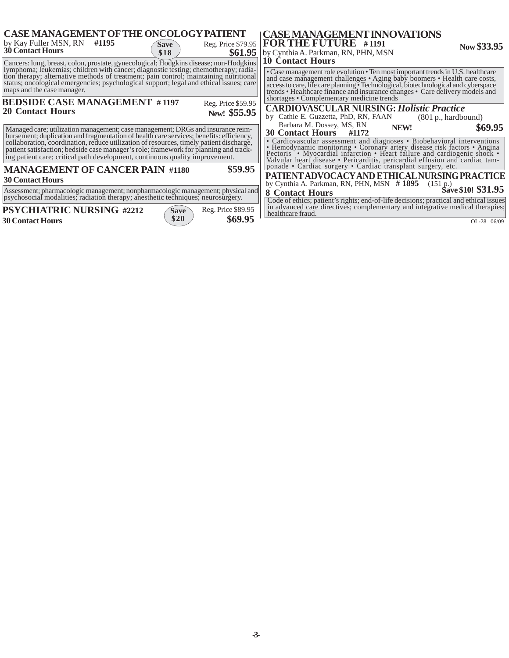| <b>CASE MANAGEMENT OF THE ONCOLOGY PATIENT</b><br>by Kay Fuller MSN, RN<br>#1195<br>Reg. Price \$79.95<br><b>Save</b><br><b>30 Contact Hours</b><br>\$61.95<br>\$18                                                                                                                                                                                                                                                                           | <b>  CASE MANAGEMENT INNOVATIONS</b><br>$\overline{P}$ FOR THE FUTURE #1191<br>Now \$33.95<br>by Cynthia A. Parkman, RN, PHN, MSN<br><b>10 Contact Hours</b>                                                                                                                                                                                                                                                                                               |  |
|-----------------------------------------------------------------------------------------------------------------------------------------------------------------------------------------------------------------------------------------------------------------------------------------------------------------------------------------------------------------------------------------------------------------------------------------------|------------------------------------------------------------------------------------------------------------------------------------------------------------------------------------------------------------------------------------------------------------------------------------------------------------------------------------------------------------------------------------------------------------------------------------------------------------|--|
| Cancers: lung, breast, colon, prostate, gynecological; Hodgkins disease; non-Hodgkins<br>lymphoma; leukemias; children with cancer; diagnostic testing; chemotherapy; radia-<br>tion therapy; alternative methods of treatment; pain control; maintaining nutritional<br>status; oncological emergencies; psychological support; legal and ethical issues; care<br>maps and the case manager.                                                 | • Case management role evolution • Ten most important trends in U.S. healthcare<br>and case management challenges • Aging baby boomers • Health care costs, access to care, life care planning • Technological, biotechnological and cyberspace trends • Healthcare finance and insurance changes • Care delivery<br>shortages • Complementary medicine trends                                                                                             |  |
| <b>BEDSIDE CASE MANAGEMENT #1197</b><br>Reg. Price \$59.95<br><b>20 Contact Hours</b><br>New! \$55.95                                                                                                                                                                                                                                                                                                                                         | <b>CARDIOVASCULAR NURSING: Holistic Practice</b><br>by Cathie E. Guzzetta, PhD, RN, FAAN<br>(801 p., hardbound)                                                                                                                                                                                                                                                                                                                                            |  |
| Managed care; utilization management; case management; DRGs and insurance reim-<br>bursement; duplication and fragmentation of health care services; benefits: efficiency,<br>collaboration, coordination, reduce utilization of resources, timely patient discharge,<br>patient satisfaction; bedside case manager's role; framework for planning and track-<br>ing patient care; critical path development, continuous quality improvement. | Barbara M. Dossey, MS, RN<br>\$69.95<br>NEW!<br><b>30 Contact Hours</b><br>#1172<br>• Cardiovascular assessment and diagnoses • Biobehavioral interventions<br>• Hemodynamic monitoring • Coronary artery disease risk factors • Angina Pectoris • Myocardial infarction • Heart failure and cardiogenic shock •<br>Valvular heart disease • Pericarditis, pericardial effusion and cardiac tamponade • Cardiac surgery • Cardiac transplant surgery, etc. |  |
| \$59.95<br><b>MANAGEMENT OF CANCER PAIN #1180</b><br><b>30 Contact Hours</b><br>Assessment; pharmacologic management; nonpharmacologic management; physical and                                                                                                                                                                                                                                                                               | PATIENT ADVOCACY AND ETHICAL NURSING PRACTICE<br>by Cynthia A. Parkman, RN, PHN, MSN #1895<br>(151 p.)<br>Save \$10! \$31.95<br><b>8 Contact Hours</b>                                                                                                                                                                                                                                                                                                     |  |
| psychosocial modalities; radiation therapy; anesthetic techniques; neurosurgery.<br><b>PSYCHIATRIC NURSING #2212</b><br>Reg. Price \$89.95<br>Save<br>\$20<br>\$69.95<br><b>30 Contact Hours</b>                                                                                                                                                                                                                                              | Code of ethics; patient's rights; end-of-life decisions; practical and ethical issues<br>in advanced care directives; complementary and integrative medical therapies;<br>healthcare fraud.<br>OL-28 06/09                                                                                                                                                                                                                                                 |  |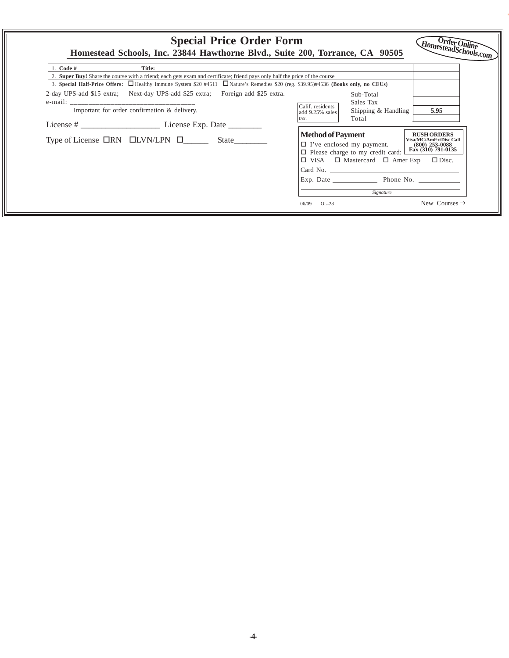| <b>Special Price Order Form</b><br>Homestead Schools, Inc. 23844 Hawthorne Blvd., Suite 200, Torrance, CA 90505                                                                                                                                                              |                                                                                                                                                                                                                                                                                                                                        | $Order$ Online<br>HomesteadSchools.com                                                                                      |
|------------------------------------------------------------------------------------------------------------------------------------------------------------------------------------------------------------------------------------------------------------------------------|----------------------------------------------------------------------------------------------------------------------------------------------------------------------------------------------------------------------------------------------------------------------------------------------------------------------------------------|-----------------------------------------------------------------------------------------------------------------------------|
| Code #<br>Title:                                                                                                                                                                                                                                                             |                                                                                                                                                                                                                                                                                                                                        |                                                                                                                             |
| 2. Super Buy! Share the course with a friend; each gets exam and certificate; friend pays only half the price of the course<br>3. Special Half-Price Offers: $\Box$ Healthy Immune System \$20 #4511 $\Box$ Nature's Remedies \$20 (reg. \$39.95)#4536 (Books only, no CEUs) |                                                                                                                                                                                                                                                                                                                                        |                                                                                                                             |
| 2-day UPS-add \$15 extra; Next-day UPS-add \$25 extra; Foreign add \$25 extra.<br>Important for order confirmation & delivery.<br>Type of License $\Box$ RN $\Box$ LVN/LPN $\Box$ State                                                                                      | Sub-Total<br>Sales Tax<br>Calif. residents<br>Shipping & Handling<br>add 9.25% sales<br>Total<br>tax.<br><b>Method of Payment</b><br>$\Box$ I've enclosed my payment.<br>$\Box$ Please charge to my credit card:<br>$\Box$ VISA $\Box$ Mastercard $\Box$ Amer Exp $\Box$ Disc.<br>Exp. Date Phone No.<br>Signature<br>$OL-28$<br>06/09 | 5.95<br><b>RUSH ORDERS</b><br>Visa/MC/AmEx/Disc Call<br>$(800)$ 253-0088<br>Fax (310) 791-0135<br>New Courses $\rightarrow$ |